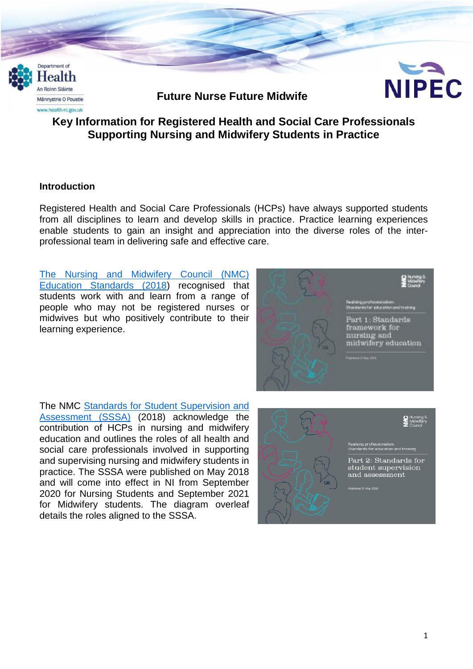

# **Key Information for Registered Health and Social Care Professionals Supporting Nursing and Midwifery Students in Practice**

### **Introduction**

Registered Health and Social Care Professionals (HCPs) have always supported students from all disciplines to learn and develop skills in practice. Practice learning experiences enable students to gain an insight and appreciation into the diverse roles of the interprofessional team in delivering safe and effective care.

[The Nursing and Midwifery Council \(NMC\)](https://www.nmc.org.uk/standards-for-education-and-training/standards-framework-for-nursing-and-midwifery-education/)  [Education Standards \(2018\)](https://www.nmc.org.uk/standards-for-education-and-training/standards-framework-for-nursing-and-midwifery-education/) recognised that students work with and learn from a range of people who may not be registered nurses or midwives but who positively contribute to their learning experience.



The NMC [Standards for Student Supervision and](https://www.nmc.org.uk/globalassets/sitedocuments/education-standards/student-supervision-assessment.pdf)  [Assessment \(SSSA\)](https://www.nmc.org.uk/globalassets/sitedocuments/education-standards/student-supervision-assessment.pdf) (2018) acknowledge the contribution of HCPs in nursing and midwifery education and outlines the roles of all health and social care professionals involved in supporting and supervising nursing and midwifery students in practice. The SSSA were published on May 2018 and will come into effect in NI from September 2020 for Nursing Students and September 2021 for Midwifery students. The diagram overleaf details the roles aligned to the SSSA.

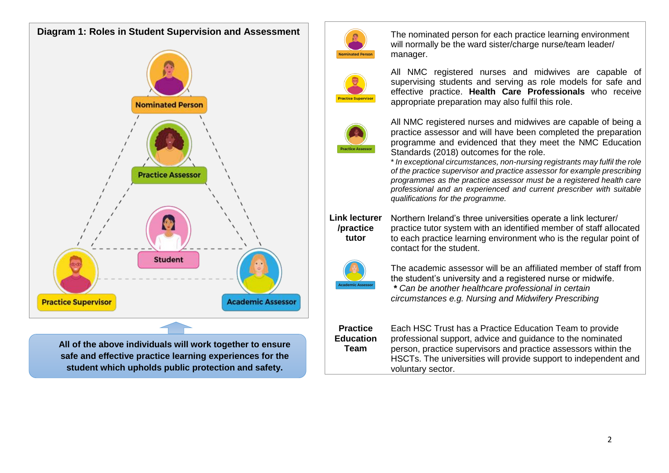

**All of the above individuals will work together to ensure safe and effective practice learning experiences for the student which upholds public protection and safety.**



The nominated person for each practice learning environment will normally be the ward sister/charge nurse/team leader/ manager.



All NMC registered nurses and midwives are capable of supervising students and serving as role models for safe and effective practice. **Health Care Professionals** who receive appropriate preparation may also fulfil this role.



All NMC registered nurses and midwives are capable of being a practice assessor and will have been completed the preparation programme and evidenced that they meet the NMC Education Standards (2018) outcomes for the role.

\* *In exceptional circumstances, non-nursing registrants may fulfil the role of the practice supervisor and practice assessor for example prescribing programmes as the practice assessor must be a registered health care professional and an experienced and current prescriber with suitable qualifications for the programme.*



Northern Ireland's three universities operate a link lecturer/ practice tutor system with an identified member of staff allocated to each practice learning environment who is the regular point of contact for the student.



The academic assessor will be an affiliated member of staff from the student's university and a registered nurse or midwife.

*\* Can be another healthcare professional in certain circumstances e.g. Nursing and Midwifery Prescribing*

**Practice Education Team** Each HSC Trust has a Practice Education Team to provide professional support, advice and guidance to the nominated person, practice supervisors and practice assessors within the HSCTs. The universities will provide support to independent and voluntary sector.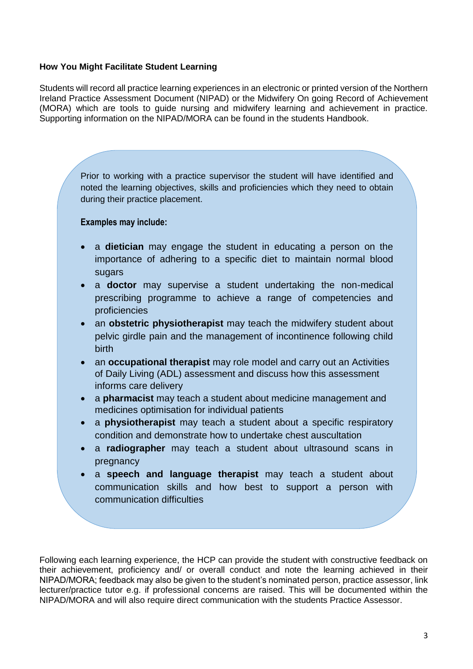#### **How You Might Facilitate Student Learning**

Students will record all practice learning experiences in an electronic or printed version of the Northern Ireland Practice Assessment Document (NIPAD) or the Midwifery On going Record of Achievement (MORA) which are tools to guide nursing and midwifery learning and achievement in practice. Supporting information on the NIPAD/MORA can be found in the students Handbook.

> Prior to working with a practice supervisor the student will have identified and noted the learning objectives, skills and proficiencies which they need to obtain during their practice placement.

#### **Examples may include:**

- a **dietician** may engage the student in educating a person on the importance of adhering to a specific diet to maintain normal blood sugars
- a **doctor** may supervise a student undertaking the non-medical prescribing programme to achieve a range of competencies and proficiencies
- an **obstetric physiotherapist** may teach the midwifery student about pelvic girdle pain and the management of incontinence following child birth
- an **occupational therapist** may role model and carry out an Activities of Daily Living (ADL) assessment and discuss how this assessment informs care delivery
- a **pharmacist** may teach a student about medicine management and medicines optimisation for individual patients
- a **physiotherapist** may teach a student about a specific respiratory condition and demonstrate how to undertake chest auscultation
- a **radiographer** may teach a student about ultrasound scans in pregnancy
- a **speech and language therapist** may teach a student about communication skills and how best to support a person with communication difficulties

 a **social worker** may outline the process for completing an assessment for e.g. a care package or domiciliary care, and teach the student about

Following each learning experience, the HCP can provide the student with constructive feedback on their achievement, proficiency and/ or overall conduct and note the learning achieved in their NIPAD/MORA; feedback may also be given to the student's nominated person, practice assessor, link lecturer/practice tutor e.g. if professional concerns are raised. This will be documented within the NIPAD/MORA and will also require direct communication with the students Practice Assessor.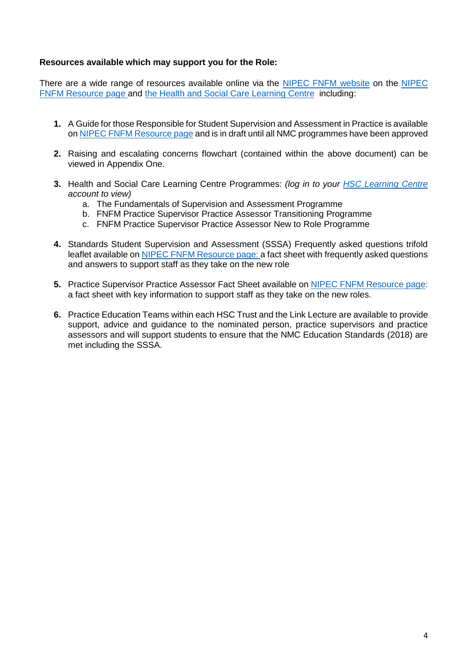#### **Resources available which may support you for the Role:**

There are a wide range of resources available online via the [NIPEC FNFM website](https://nipec.hscni.net/service/fnfm/) on the [NIPEC](https://nipec.hscni.net/service/fnfm/fnfm-resources/)  [FNFM Resource page](https://nipec.hscni.net/work-and-projects/stds-of-ed-amg-nurs-mids/future-nurse-future-midwife/fnfm-resources/) and [the Health and Social Care Learning Centre](https://www.hsclearning.com/) including:

- **1.** [A Guide for those Responsible for Student Supervision and Assessment in Practice](https://nipec.hscni.net/download/projects/current_work/highstandards_education/future_nurse_future_midwife/fnfm_resources/A-Guide-for-those-Responsible-for-Student-Supervision-and-Assessment-in-Practice..pdf) is available on [NIPEC FNFM Resource page](https://nipec.hscni.net/service/fnfm/fnfm-resources/) and is in draft until all NMC programmes have been approved
- **2.** Raising and escalating concerns flowchart (contained within the above document) can be viewed in Appendix One.
- **3.** Health and Social Care Learning Centre Programmes: *(log in to your [HSC Learning Centre](https://www.hsclearning.com/) account to view)*
	- a. The Fundamentals of Supervision and Assessment Programme
	- b. FNFM Practice Supervisor Practice Assessor Transitioning Programme
	- c. FNFM Practice Supervisor Practice Assessor New to Role Programme
- **4.** Standards Student Supervision and Assessment (SSSA) Frequently asked questions trifold leaflet available on NIPEC [FNFM Resource page:](https://nipec.hscni.net/service/fnfm/fnfm-resources/) a fact sheet with frequently asked questions and answers to support staff as they take on the new role
- **5.** Practice Supervisor Practice Assessor Fact Sheet available on [NIPEC FNFM Resource page:](https://nipec.hscni.net/service/fnfm/fnfm-resources/) a fact sheet with key information to support staff as they take on the new roles.
- **6.** Practice Education Teams within each HSC Trust and the Link Lecture are available to provide support, advice and guidance to the nominated person, practice supervisors and practice assessors and will support students to ensure that the NMC Education Standards (2018) are met including the SSSA.